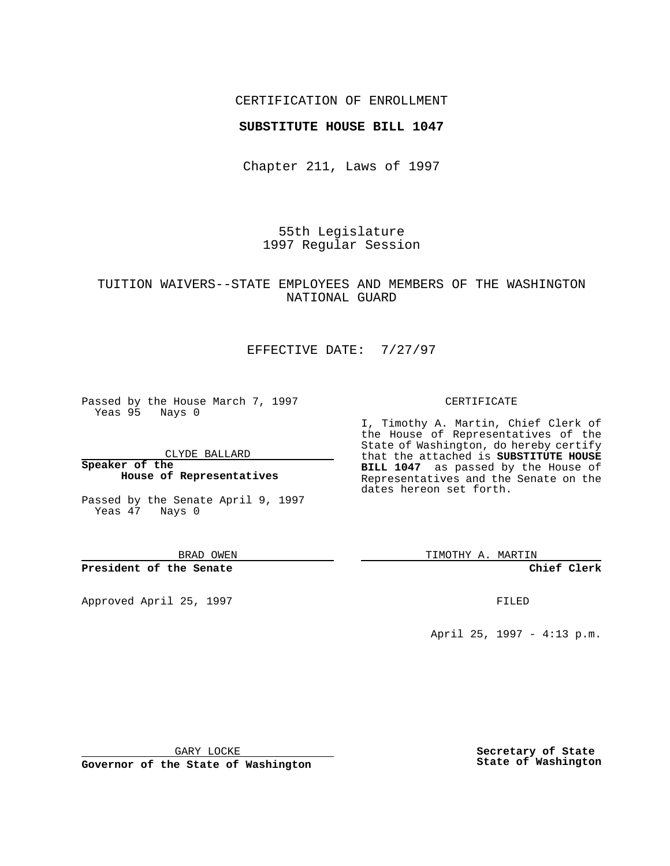## CERTIFICATION OF ENROLLMENT

### **SUBSTITUTE HOUSE BILL 1047**

Chapter 211, Laws of 1997

55th Legislature 1997 Regular Session

## TUITION WAIVERS--STATE EMPLOYEES AND MEMBERS OF THE WASHINGTON NATIONAL GUARD

## EFFECTIVE DATE: 7/27/97

Passed by the House March 7, 1997 Yeas 95 Nays 0

CLYDE BALLARD

**Speaker of the House of Representatives**

Passed by the Senate April 9, 1997 Yeas 47 Nays 0

BRAD OWEN

**President of the Senate**

Approved April 25, 1997 **FILED** 

#### CERTIFICATE

I, Timothy A. Martin, Chief Clerk of the House of Representatives of the State of Washington, do hereby certify that the attached is **SUBSTITUTE HOUSE BILL 1047** as passed by the House of Representatives and the Senate on the dates hereon set forth.

TIMOTHY A. MARTIN

**Chief Clerk**

April 25, 1997 - 4:13 p.m.

GARY LOCKE

**Governor of the State of Washington**

**Secretary of State State of Washington**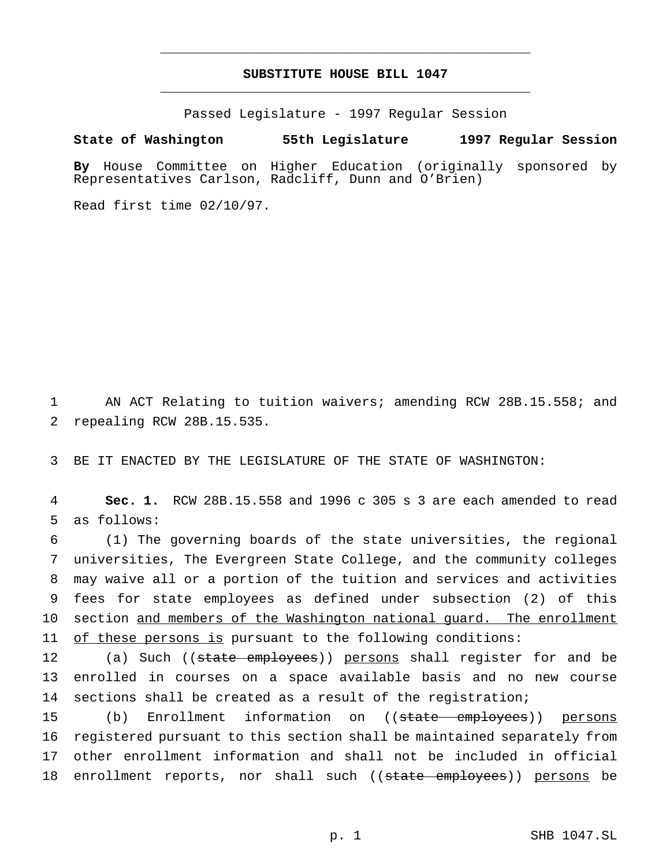# **SUBSTITUTE HOUSE BILL 1047** \_\_\_\_\_\_\_\_\_\_\_\_\_\_\_\_\_\_\_\_\_\_\_\_\_\_\_\_\_\_\_\_\_\_\_\_\_\_\_\_\_\_\_\_\_\_\_

\_\_\_\_\_\_\_\_\_\_\_\_\_\_\_\_\_\_\_\_\_\_\_\_\_\_\_\_\_\_\_\_\_\_\_\_\_\_\_\_\_\_\_\_\_\_\_

Passed Legislature - 1997 Regular Session

#### **State of Washington 55th Legislature 1997 Regular Session**

**By** House Committee on Higher Education (originally sponsored by Representatives Carlson, Radcliff, Dunn and O'Brien)

Read first time 02/10/97.

1 AN ACT Relating to tuition waivers; amending RCW 28B.15.558; and 2 repealing RCW 28B.15.535.

3 BE IT ENACTED BY THE LEGISLATURE OF THE STATE OF WASHINGTON:

4 **Sec. 1.** RCW 28B.15.558 and 1996 c 305 s 3 are each amended to read 5 as follows:

 (1) The governing boards of the state universities, the regional universities, The Evergreen State College, and the community colleges may waive all or a portion of the tuition and services and activities fees for state employees as defined under subsection (2) of this 10 section and members of the Washington national quard. The enrollment of these persons is pursuant to the following conditions:

12 (a) Such ((state employees)) persons shall register for and be 13 enrolled in courses on a space available basis and no new course 14 sections shall be created as a result of the registration;

15 (b) Enrollment information on ((state employees)) persons 16 registered pursuant to this section shall be maintained separately from 17 other enrollment information and shall not be included in official 18 enrollment reports, nor shall such ((state employees)) persons be